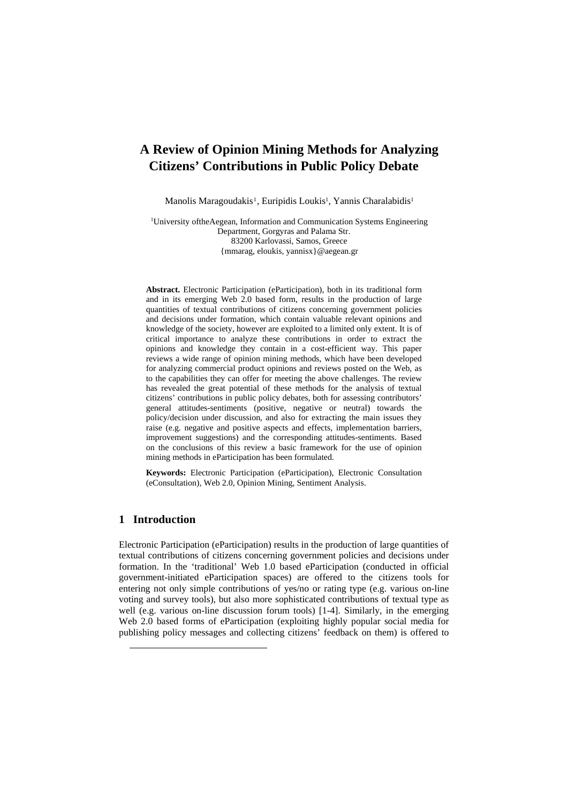# **A Review of Opinion Mining Methods for Analyzing Citizens' Contributions in Public Policy Debate**

Manolis Maragoudakis<sup>[1](#page-0-0)</sup>, Euripidis Loukis<sup>1</sup>, Yannis Charalabidis<sup>1</sup>

1 University oftheAegean, Information and Communication Systems Engineering Department, Gorgyras and Palama Str. 83200 Karlovassi, Samos, Greece {mmarag, eloukis, yannisx}@aegean.gr

**Abstract.** Electronic Participation (eParticipation), both in its traditional form and in its emerging Web 2.0 based form, results in the production of large quantities of textual contributions of citizens concerning government policies and decisions under formation, which contain valuable relevant opinions and knowledge of the society, however are exploited to a limited only extent. It is of critical importance to analyze these contributions in order to extract the opinions and knowledge they contain in a cost-efficient way. This paper reviews a wide range of opinion mining methods, which have been developed for analyzing commercial product opinions and reviews posted on the Web, as to the capabilities they can offer for meeting the above challenges. The review has revealed the great potential of these methods for the analysis of textual citizens' contributions in public policy debates, both for assessing contributors' general attitudes-sentiments (positive, negative or neutral) towards the policy/decision under discussion, and also for extracting the main issues they raise (e.g. negative and positive aspects and effects, implementation barriers, improvement suggestions) and the corresponding attitudes-sentiments. Based on the conclusions of this review a basic framework for the use of opinion mining methods in eParticipation has been formulated.

**Keywords:** Electronic Participation (eParticipation), Electronic Consultation (eConsultation), Web 2.0, Opinion Mining, Sentiment Analysis.

# **1 Introduction**

<span id="page-0-0"></span>-

Electronic Participation (eParticipation) results in the production of large quantities of textual contributions of citizens concerning government policies and decisions under formation. In the 'traditional' Web 1.0 based eParticipation (conducted in official government-initiated eParticipation spaces) are offered to the citizens tools for entering not only simple contributions of yes/no or rating type (e.g. various on-line voting and survey tools), but also more sophisticated contributions of textual type as well (e.g. various on-line discussion forum tools) [1-4]. Similarly, in the emerging Web 2.0 based forms of eParticipation (exploiting highly popular social media for publishing policy messages and collecting citizens' feedback on them) is offered to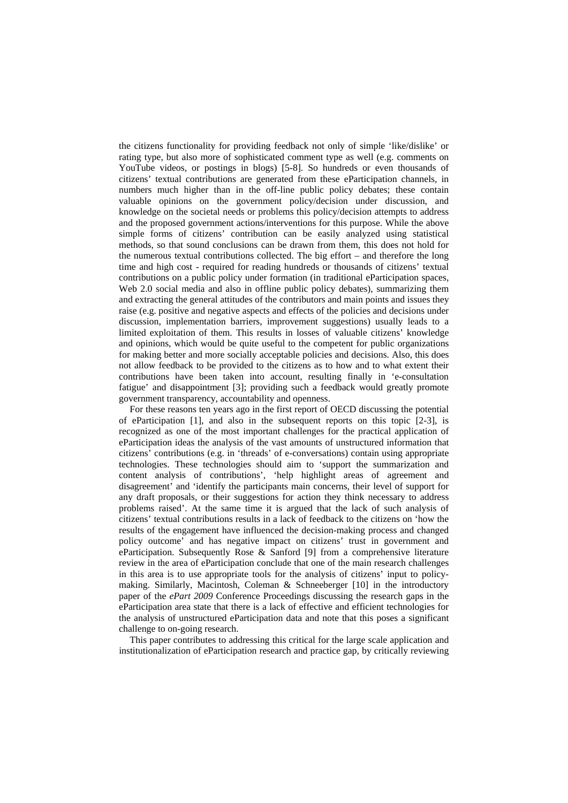the citizens functionality for providing feedback not only of simple 'like/dislike' or rating type, but also more of sophisticated comment type as well (e.g. comments on YouTube videos, or postings in blogs) [5-8]. So hundreds or even thousands of citizens' textual contributions are generated from these eParticipation channels, in numbers much higher than in the off-line public policy debates; these contain valuable opinions on the government policy/decision under discussion, and knowledge on the societal needs or problems this policy/decision attempts to address and the proposed government actions/interventions for this purpose. While the above simple forms of citizens' contribution can be easily analyzed using statistical methods, so that sound conclusions can be drawn from them, this does not hold for the numerous textual contributions collected. The big effort – and therefore the long time and high cost - required for reading hundreds or thousands of citizens' textual contributions on a public policy under formation (in traditional eParticipation spaces, Web 2.0 social media and also in offline public policy debates), summarizing them and extracting the general attitudes of the contributors and main points and issues they raise (e.g. positive and negative aspects and effects of the policies and decisions under discussion, implementation barriers, improvement suggestions) usually leads to a limited exploitation of them. This results in losses of valuable citizens' knowledge and opinions, which would be quite useful to the competent for public organizations for making better and more socially acceptable policies and decisions. Also, this does not allow feedback to be provided to the citizens as to how and to what extent their contributions have been taken into account, resulting finally in 'e-consultation fatigue' and disappointment [3]; providing such a feedback would greatly promote government transparency, accountability and openness.

For these reasons ten years ago in the first report of OECD discussing the potential of eParticipation [1], and also in the subsequent reports on this topic [2-3], is recognized as one of the most important challenges for the practical application of eParticipation ideas the analysis of the vast amounts of unstructured information that citizens' contributions (e.g. in 'threads' of e-conversations) contain using appropriate technologies. These technologies should aim to 'support the summarization and content analysis of contributions', 'help highlight areas of agreement and disagreement' and 'identify the participants main concerns, their level of support for any draft proposals, or their suggestions for action they think necessary to address problems raised'. At the same time it is argued that the lack of such analysis of citizens' textual contributions results in a lack of feedback to the citizens on 'how the results of the engagement have influenced the decision-making process and changed policy outcome' and has negative impact on citizens' trust in government and eParticipation. Subsequently Rose & Sanford [9] from a comprehensive literature review in the area of eParticipation conclude that one of the main research challenges in this area is to use appropriate tools for the analysis of citizens' input to policymaking. Similarly, Macintosh, Coleman & Schneeberger [10] in the introductory paper of the *ePart 2009* Conference Proceedings discussing the research gaps in the eParticipation area state that there is a lack of effective and efficient technologies for the analysis of unstructured eParticipation data and note that this poses a significant challenge to on-going research.

This paper contributes to addressing this critical for the large scale application and institutionalization of eParticipation research and practice gap, by critically reviewing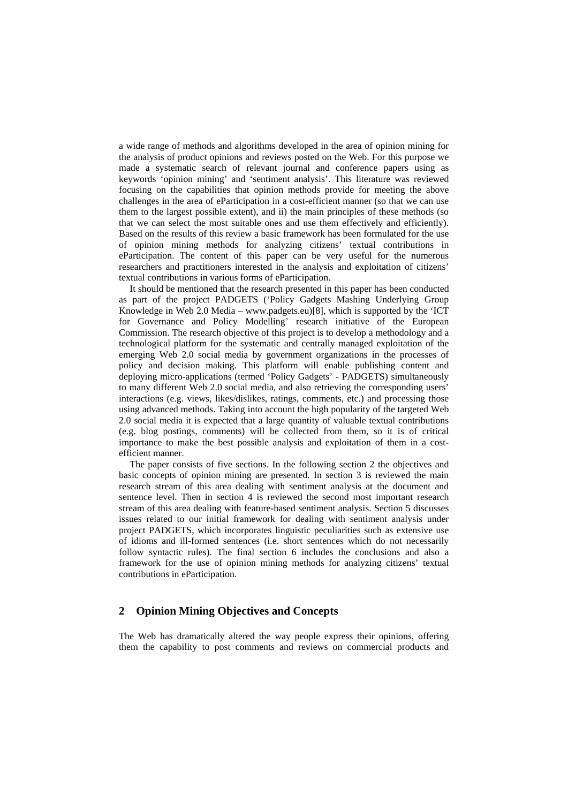a wide range of methods and algorithms developed in the area of opinion mining for the analysis of product opinions and reviews posted on the Web. For this purpose we made a systematic search of relevant journal and conference papers using as keywords 'opinion mining' and 'sentiment analysis'. This literature was reviewed focusing on the capabilities that opinion methods provide for meeting the above challenges in the area of eParticipation in a cost-efficient manner (so that we can use them to the largest possible extent), and ii) the main principles of these methods (so that we can select the most suitable ones and use them effectively and efficiently). Based on the results of this review a basic framework has been formulated for the use of opinion mining methods for analyzing citizens' textual contributions in eParticipation. The content of this paper can be very useful for the numerous researchers and practitioners interested in the analysis and exploitation of citizens' textual contributions in various forms of eParticipation.

It should be mentioned that the research presented in this paper has been conducted as part of the project PADGETS ('Policy Gadgets Mashing Underlying Group Knowledge in Web 2.0 Media – www.padgets.eu)[8], which is supported by the 'ICT for Governance and Policy Modelling' research initiative of the European Commission. The research objective of this project is to develop a methodology and a technological platform for the systematic and centrally managed exploitation of the emerging Web 2.0 social media by government organizations in the processes of policy and decision making. This platform will enable publishing content and deploying micro-applications (termed 'Policy Gadgets' - PADGETS) simultaneously to many different Web 2.0 social media, and also retrieving the corresponding users' interactions (e.g. views, likes/dislikes, ratings, comments, etc.) and processing those using advanced methods. Taking into account the high popularity of the targeted Web 2.0 social media it is expected that a large quantity of valuable textual contributions (e.g. blog postings, comments) will be collected from them, so it is of critical importance to make the best possible analysis and exploitation of them in a costefficient manner.

The paper consists of five sections. In the following section 2 the objectives and basic concepts of opinion mining are presented. In section 3 is reviewed the main research stream of this area dealing with sentiment analysis at the document and sentence level. Then in section 4 is reviewed the second most important research stream of this area dealing with feature-based sentiment analysis. Section 5 discusses issues related to our initial framework for dealing with sentiment analysis under project PADGETS, which incorporates linguistic peculiarities such as extensive use of idioms and ill-formed sentences (i.e. short sentences which do not necessarily follow syntactic rules). The final section 6 includes the conclusions and also a framework for the use of opinion mining methods for analyzing citizens' textual contributions in eParticipation.

## **2 Opinion Mining Objectives and Concepts**

The Web has dramatically altered the way people express their opinions, offering them the capability to post comments and reviews on commercial products and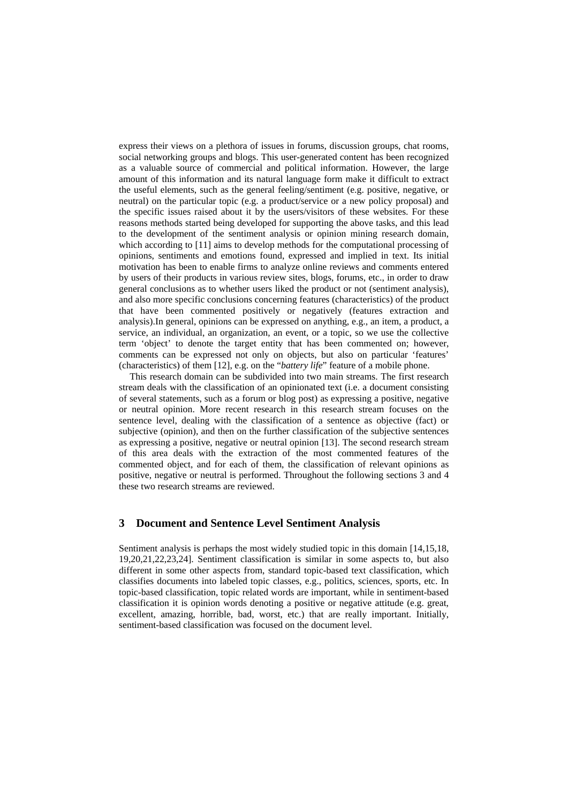express their views on a plethora of issues in forums, discussion groups, chat rooms, social networking groups and blogs. This user-generated content has been recognized as a valuable source of commercial and political information. However, the large amount of this information and its natural language form make it difficult to extract the useful elements, such as the general feeling/sentiment (e.g. positive, negative, or neutral) on the particular topic (e.g. a product/service or a new policy proposal) and the specific issues raised about it by the users/visitors of these websites. For these reasons methods started being developed for supporting the above tasks, and this lead to the development of the sentiment analysis or opinion mining research domain, which according to [11] aims to develop methods for the computational processing of opinions, sentiments and emotions found, expressed and implied in text. Its initial motivation has been to enable firms to analyze online reviews and comments entered by users of their products in various review sites, blogs, forums, etc., in order to draw general conclusions as to whether users liked the product or not (sentiment analysis), and also more specific conclusions concerning features (characteristics) of the product that have been commented positively or negatively (features extraction and analysis).In general, opinions can be expressed on anything, e.g., an item, a product, a service, an individual, an organization, an event, or a topic, so we use the collective term 'object' to denote the target entity that has been commented on; however, comments can be expressed not only on objects, but also on particular 'features' (characteristics) of them [12], e.g. on the "*battery life*" feature of a mobile phone.

This research domain can be subdivided into two main streams. The first research stream deals with the classification of an opinionated text (i.e. a document consisting of several statements, such as a forum or blog post) as expressing a positive, negative or neutral opinion. More recent research in this research stream focuses on the sentence level, dealing with the classification of a sentence as objective (fact) or subjective (opinion), and then on the further classification of the subjective sentences as expressing a positive, negative or neutral opinion [13]. The second research stream of this area deals with the extraction of the most commented features of the commented object, and for each of them, the classification of relevant opinions as positive, negative or neutral is performed. Throughout the following sections 3 and 4 these two research streams are reviewed.

## **3 Document and Sentence Level Sentiment Analysis**

Sentiment analysis is perhaps the most widely studied topic in this domain [14,15,18, 19,20,21,22,23,24]. Sentiment classification is similar in some aspects to, but also different in some other aspects from, standard topic-based text classification, which classifies documents into labeled topic classes, e.g., politics, sciences, sports, etc. In topic-based classification, topic related words are important, while in sentiment-based classification it is opinion words denoting a positive or negative attitude (e.g. great, excellent, amazing, horrible, bad, worst, etc.) that are really important. Initially, sentiment-based classification was focused on the document level.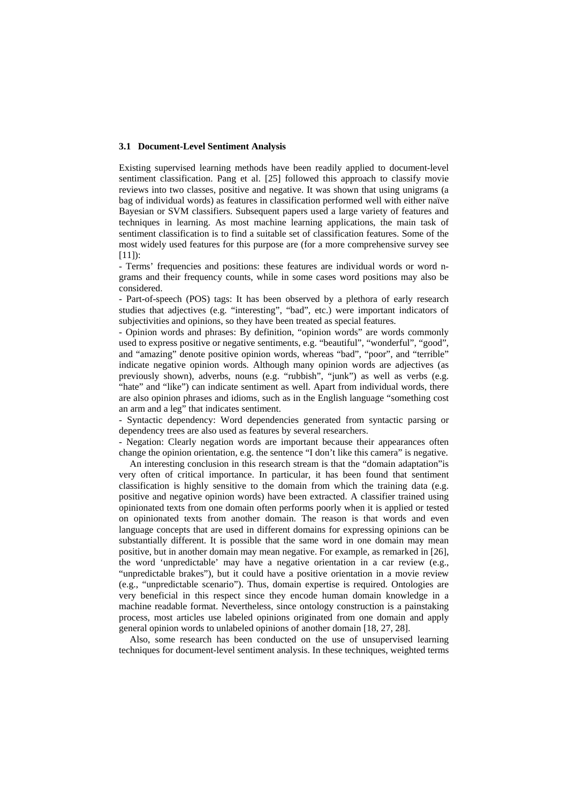#### **3.1 Document-Level Sentiment Analysis**

Existing supervised learning methods have been readily applied to document-level sentiment classification. Pang et al. [25] followed this approach to classify movie reviews into two classes, positive and negative. It was shown that using unigrams (a bag of individual words) as features in classification performed well with either naïve Bayesian or SVM classifiers. Subsequent papers used a large variety of features and techniques in learning. As most machine learning applications, the main task of sentiment classification is to find a suitable set of classification features. Some of the most widely used features for this purpose are (for a more comprehensive survey see [11]):

- Terms' frequencies and positions: these features are individual words or word ngrams and their frequency counts, while in some cases word positions may also be considered.

- Part-of-speech (POS) tags: It has been observed by a plethora of early research studies that adjectives (e.g. "interesting", "bad", etc.) were important indicators of subjectivities and opinions, so they have been treated as special features.

- Opinion words and phrases: By definition, "opinion words" are words commonly used to express positive or negative sentiments, e.g. "beautiful", "wonderful", "good", and "amazing" denote positive opinion words, whereas "bad", "poor", and "terrible" indicate negative opinion words. Although many opinion words are adjectives (as previously shown), adverbs, nouns (e.g. "rubbish", "junk") as well as verbs (e.g. "hate" and "like") can indicate sentiment as well. Apart from individual words, there are also opinion phrases and idioms, such as in the English language "something cost an arm and a leg" that indicates sentiment.

- Syntactic dependency: Word dependencies generated from syntactic parsing or dependency trees are also used as features by several researchers.

- Negation: Clearly negation words are important because their appearances often change the opinion orientation, e.g. the sentence "I don't like this camera" is negative.

An interesting conclusion in this research stream is that the "domain adaptation"is very often of critical importance. In particular, it has been found that sentiment classification is highly sensitive to the domain from which the training data (e.g. positive and negative opinion words) have been extracted. A classifier trained using opinionated texts from one domain often performs poorly when it is applied or tested on opinionated texts from another domain. The reason is that words and even language concepts that are used in different domains for expressing opinions can be substantially different. It is possible that the same word in one domain may mean positive, but in another domain may mean negative. For example, as remarked in [26], the word 'unpredictable' may have a negative orientation in a car review (e.g., "unpredictable brakes"), but it could have a positive orientation in a movie review (e.g., "unpredictable scenario"). Thus, domain expertise is required. Ontologies are very beneficial in this respect since they encode human domain knowledge in a machine readable format. Nevertheless, since ontology construction is a painstaking process, most articles use labeled opinions originated from one domain and apply general opinion words to unlabeled opinions of another domain [18, 27, 28].

Also, some research has been conducted on the use of unsupervised learning techniques for document-level sentiment analysis. In these techniques, weighted terms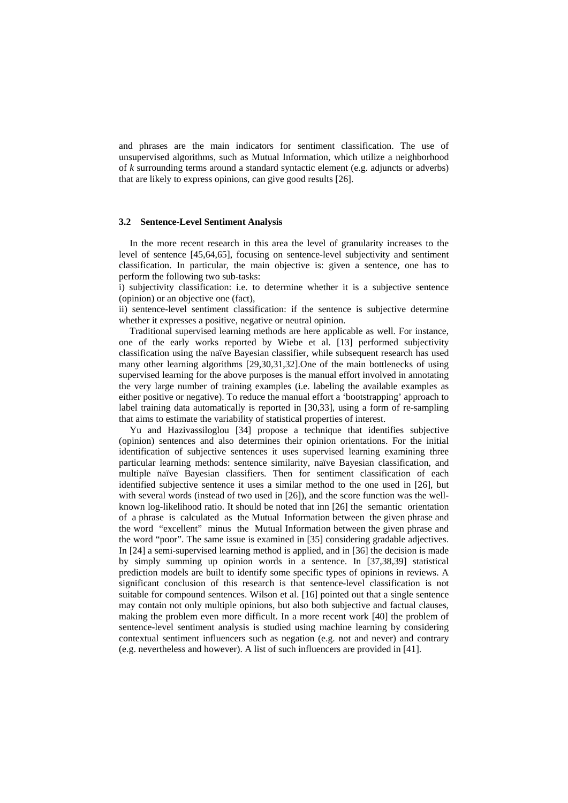and phrases are the main indicators for sentiment classification. The use of unsupervised algorithms, such as Mutual Information, which utilize a neighborhood of *k* surrounding terms around a standard syntactic element (e.g. adjuncts or adverbs) that are likely to express opinions, can give good results [26].

#### **3.2 Sentence-Level Sentiment Analysis**

In the more recent research in this area the level of granularity increases to the level of sentence [45,64,65], focusing on sentence-level subjectivity and sentiment classification. In particular, the main objective is: given a sentence, one has to perform the following two sub-tasks:

i) subjectivity classification: i.e. to determine whether it is a subjective sentence (opinion) or an objective one (fact),

ii) sentence-level sentiment classification: if the sentence is subjective determine whether it expresses a positive, negative or neutral opinion.

Traditional supervised learning methods are here applicable as well. For instance, one of the early works reported by Wiebe et al. [13] performed subjectivity classification using the naïve Bayesian classifier, while subsequent research has used many other learning algorithms [29,30,31,32].One of the main bottlenecks of using supervised learning for the above purposes is the manual effort involved in annotating the very large number of training examples (i.e. labeling the available examples as either positive or negative). To reduce the manual effort a 'bootstrapping' approach to label training data automatically is reported in [30,33], using a form of re-sampling that aims to estimate the variability of statistical properties of interest.

Yu and Hazivassiloglou [34] propose a technique that identifies subjective (opinion) sentences and also determines their opinion orientations. For the initial identification of subjective sentences it uses supervised learning examining three particular learning methods: sentence similarity, naïve Bayesian classification, and multiple naïve Bayesian classifiers. Then for sentiment classification of each identified subjective sentence it uses a similar method to the one used in [26], but with several words (instead of two used in [26]), and the score function was the wellknown log-likelihood ratio. It should be noted that inn [26] the semantic orientation of a phrase is calculated as the Mutual Information between the given phrase and the word "excellent" minus the Mutual Information between the given phrase and the word "poor". The same issue is examined in [35] considering gradable adjectives. In [24] a semi-supervised learning method is applied, and in [36] the decision is made by simply summing up opinion words in a sentence. In [37,38,39] statistical prediction models are built to identify some specific types of opinions in reviews. A significant conclusion of this research is that sentence-level classification is not suitable for compound sentences. Wilson et al. [16] pointed out that a single sentence may contain not only multiple opinions, but also both subjective and factual clauses, making the problem even more difficult. In a more recent work [40] the problem of sentence-level sentiment analysis is studied using machine learning by considering contextual sentiment influencers such as negation (e.g. not and never) and contrary (e.g. nevertheless and however). A list of such influencers are provided in [41].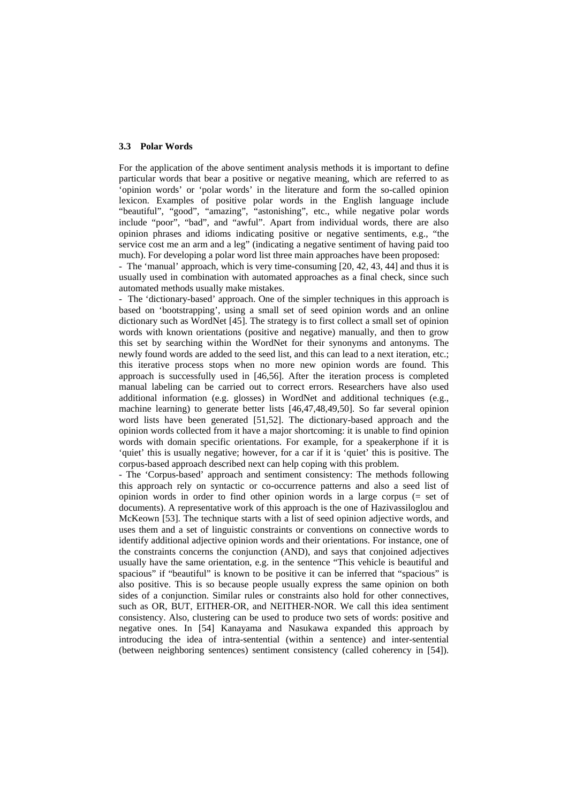#### **3.3 Polar Words**

For the application of the above sentiment analysis methods it is important to define particular words that bear a positive or negative meaning, which are referred to as 'opinion words' or 'polar words' in the literature and form the so-called opinion lexicon. Examples of positive polar words in the English language include "beautiful", "good", "amazing", "astonishing", etc., while negative polar words include "poor", "bad", and "awful". Apart from individual words, there are also opinion phrases and idioms indicating positive or negative sentiments, e.g., "the service cost me an arm and a leg" (indicating a negative sentiment of having paid too much). For developing a polar word list three main approaches have been proposed:

- The 'manual' approach, which is very time-consuming [20, 42, 43, 44] and thus it is usually used in combination with automated approaches as a final check, since such automated methods usually make mistakes.

- The 'dictionary-based' approach. One of the simpler techniques in this approach is based on 'bootstrapping', using a small set of seed opinion words and an online dictionary such as WordNet [45]. The strategy is to first collect a small set of opinion words with known orientations (positive and negative) manually, and then to grow this set by searching within the WordNet for their synonyms and antonyms. The newly found words are added to the seed list, and this can lead to a next iteration, etc.; this iterative process stops when no more new opinion words are found. This approach is successfully used in [46,56]. After the iteration process is completed manual labeling can be carried out to correct errors. Researchers have also used additional information (e.g. glosses) in WordNet and additional techniques (e.g., machine learning) to generate better lists [46,47,48,49,50]. So far several opinion word lists have been generated [51,52]. The dictionary-based approach and the opinion words collected from it have a major shortcoming: it is unable to find opinion words with domain specific orientations. For example, for a speakerphone if it is 'quiet' this is usually negative; however, for a car if it is 'quiet' this is positive. The corpus-based approach described next can help coping with this problem.

- The 'Corpus-based' approach and sentiment consistency: The methods following this approach rely on syntactic or co-occurrence patterns and also a seed list of opinion words in order to find other opinion words in a large corpus (= set of documents). A representative work of this approach is the one of Hazivassiloglou and McKeown [53]. The technique starts with a list of seed opinion adjective words, and uses them and a set of linguistic constraints or conventions on connective words to identify additional adjective opinion words and their orientations. For instance, one of the constraints concerns the conjunction (AND), and says that conjoined adjectives usually have the same orientation, e.g. in the sentence "This vehicle is beautiful and spacious" if "beautiful" is known to be positive it can be inferred that "spacious" is also positive. This is so because people usually express the same opinion on both sides of a conjunction. Similar rules or constraints also hold for other connectives, such as OR, BUT, EITHER-OR, and NEITHER-NOR. We call this idea sentiment consistency. Also, clustering can be used to produce two sets of words: positive and negative ones. In [54] Kanayama and Nasukawa expanded this approach by introducing the idea of intra-sentential (within a sentence) and inter-sentential (between neighboring sentences) sentiment consistency (called coherency in [54]).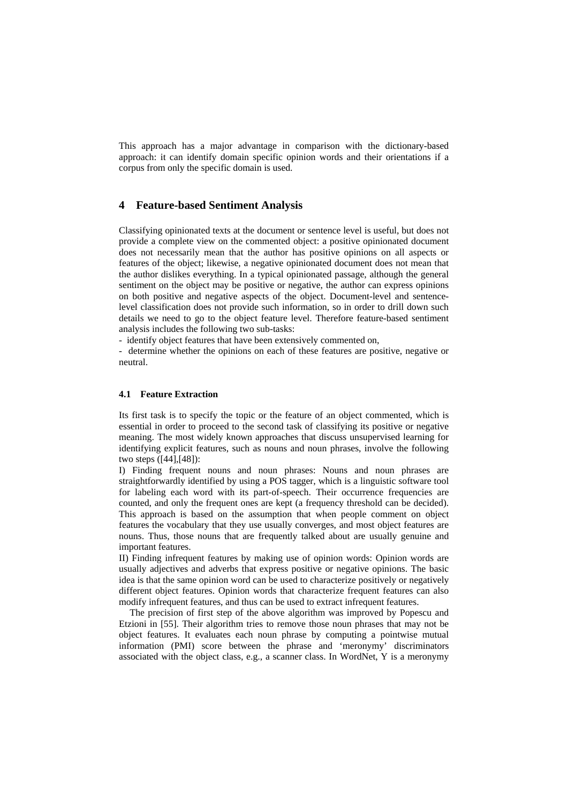This approach has a major advantage in comparison with the dictionary-based approach: it can identify domain specific opinion words and their orientations if a corpus from only the specific domain is used.

## **4 Feature-based Sentiment Analysis**

Classifying opinionated texts at the document or sentence level is useful, but does not provide a complete view on the commented object: a positive opinionated document does not necessarily mean that the author has positive opinions on all aspects or features of the object; likewise, a negative opinionated document does not mean that the author dislikes everything. In a typical opinionated passage, although the general sentiment on the object may be positive or negative, the author can express opinions on both positive and negative aspects of the object. Document-level and sentencelevel classification does not provide such information, so in order to drill down such details we need to go to the object feature level. Therefore feature-based sentiment analysis includes the following two sub-tasks:

- identify object features that have been extensively commented on,

- determine whether the opinions on each of these features are positive, negative or neutral.

### **4.1 Feature Extraction**

Its first task is to specify the topic or the feature of an object commented, which is essential in order to proceed to the second task of classifying its positive or negative meaning. The most widely known approaches that discuss unsupervised learning for identifying explicit features, such as nouns and noun phrases, involve the following two steps ([44],[48]):

I) Finding frequent nouns and noun phrases: Nouns and noun phrases are straightforwardly identified by using a POS tagger, which is a linguistic software tool for labeling each word with its part-of-speech. Their occurrence frequencies are counted, and only the frequent ones are kept (a frequency threshold can be decided). This approach is based on the assumption that when people comment on object features the vocabulary that they use usually converges, and most object features are nouns. Thus, those nouns that are frequently talked about are usually genuine and important features.

II) Finding infrequent features by making use of opinion words: Opinion words are usually adjectives and adverbs that express positive or negative opinions. The basic idea is that the same opinion word can be used to characterize positively or negatively different object features. Opinion words that characterize frequent features can also modify infrequent features, and thus can be used to extract infrequent features.

The precision of first step of the above algorithm was improved by Popescu and Etzioni in [55]. Their algorithm tries to remove those noun phrases that may not be object features. It evaluates each noun phrase by computing a pointwise mutual information (PMI) score between the phrase and 'meronymy' discriminators associated with the object class, e.g., a scanner class. In WordNet, Y is a meronymy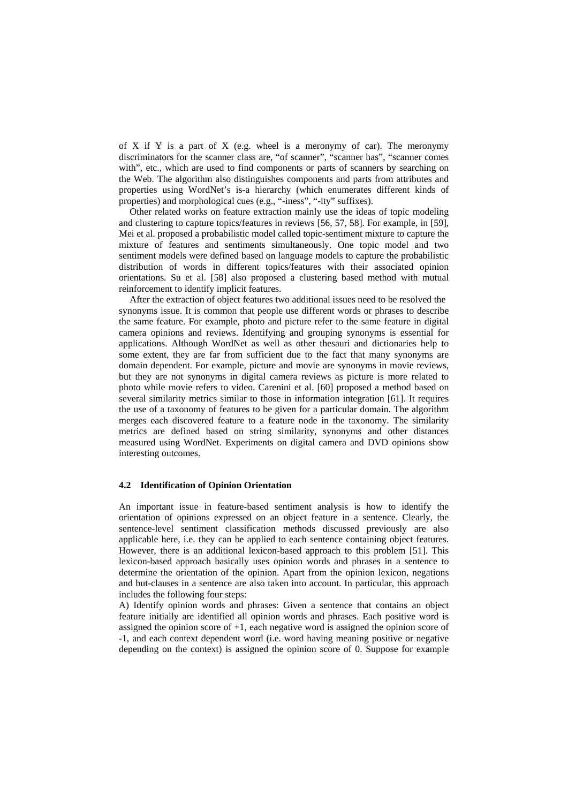of X if Y is a part of X (e.g. wheel is a meronymy of car). The meronymy discriminators for the scanner class are, "of scanner", "scanner has", "scanner comes with", etc., which are used to find components or parts of scanners by searching on the Web. The algorithm also distinguishes components and parts from attributes and properties using WordNet's is-a hierarchy (which enumerates different kinds of properties) and morphological cues (e.g., "-iness", "-ity" suffixes).

Other related works on feature extraction mainly use the ideas of topic modeling and clustering to capture topics/features in reviews [56, 57, 58]. For example, in [59], Mei et al. proposed a probabilistic model called topic-sentiment mixture to capture the mixture of features and sentiments simultaneously. One topic model and two sentiment models were defined based on language models to capture the probabilistic distribution of words in different topics/features with their associated opinion orientations. Su et al. [58] also proposed a clustering based method with mutual reinforcement to identify implicit features.

After the extraction of object features two additional issues need to be resolved the synonyms issue. It is common that people use different words or phrases to describe the same feature. For example, photo and picture refer to the same feature in digital camera opinions and reviews. Identifying and grouping synonyms is essential for applications. Although WordNet as well as other thesauri and dictionaries help to some extent, they are far from sufficient due to the fact that many synonyms are domain dependent. For example, picture and movie are synonyms in movie reviews, but they are not synonyms in digital camera reviews as picture is more related to photo while movie refers to video. Carenini et al. [60] proposed a method based on several similarity metrics similar to those in information integration [61]. It requires the use of a taxonomy of features to be given for a particular domain. The algorithm merges each discovered feature to a feature node in the taxonomy. The similarity metrics are defined based on string similarity, synonyms and other distances measured using WordNet. Experiments on digital camera and DVD opinions show interesting outcomes.

### **4.2 Identification of Opinion Orientation**

An important issue in feature-based sentiment analysis is how to identify the orientation of opinions expressed on an object feature in a sentence. Clearly, the sentence-level sentiment classification methods discussed previously are also applicable here, i.e. they can be applied to each sentence containing object features. However, there is an additional lexicon-based approach to this problem [51]. This lexicon-based approach basically uses opinion words and phrases in a sentence to determine the orientation of the opinion. Apart from the opinion lexicon, negations and but-clauses in a sentence are also taken into account. In particular, this approach includes the following four steps:

A) Identify opinion words and phrases: Given a sentence that contains an object feature initially are identified all opinion words and phrases. Each positive word is assigned the opinion score of  $+1$ , each negative word is assigned the opinion score of -1, and each context dependent word (i.e. word having meaning positive or negative depending on the context) is assigned the opinion score of 0. Suppose for example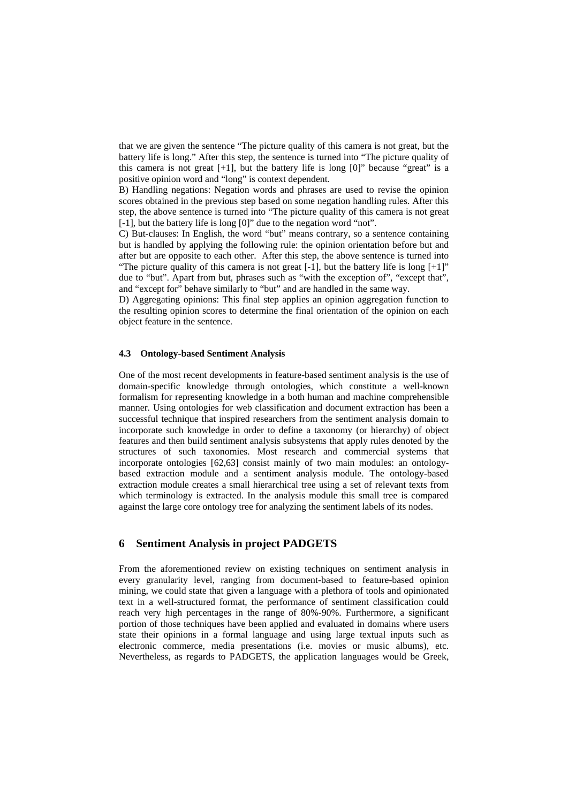that we are given the sentence "The picture quality of this camera is not great, but the battery life is long." After this step, the sentence is turned into "The picture quality of this camera is not great  $[+1]$ , but the battery life is long  $[0]$ " because "great" is a positive opinion word and "long" is context dependent.

B) Handling negations: Negation words and phrases are used to revise the opinion scores obtained in the previous step based on some negation handling rules. After this step, the above sentence is turned into "The picture quality of this camera is not great [-1], but the battery life is long [0]" due to the negation word "not".

C) But-clauses: In English, the word "but" means contrary, so a sentence containing but is handled by applying the following rule: the opinion orientation before but and after but are opposite to each other. After this step, the above sentence is turned into "The picture quality of this camera is not great  $[-1]$ , but the battery life is long  $[+1]$ " due to "but". Apart from but, phrases such as "with the exception of", "except that", and "except for" behave similarly to "but" and are handled in the same way.

D) Aggregating opinions: This final step applies an opinion aggregation function to the resulting opinion scores to determine the final orientation of the opinion on each object feature in the sentence.

#### **4.3 Ontology-based Sentiment Analysis**

One of the most recent developments in feature-based sentiment analysis is the use of domain-specific knowledge through ontologies, which constitute a well-known formalism for representing knowledge in a both human and machine comprehensible manner. Using ontologies for web classification and document extraction has been a successful technique that inspired researchers from the sentiment analysis domain to incorporate such knowledge in order to define a taxonomy (or hierarchy) of object features and then build sentiment analysis subsystems that apply rules denoted by the structures of such taxonomies. Most research and commercial systems that incorporate ontologies [62,63] consist mainly of two main modules: an ontologybased extraction module and a sentiment analysis module. The ontology-based extraction module creates a small hierarchical tree using a set of relevant texts from which terminology is extracted. In the analysis module this small tree is compared against the large core ontology tree for analyzing the sentiment labels of its nodes.

## **6 Sentiment Analysis in project PADGETS**

From the aforementioned review on existing techniques on sentiment analysis in every granularity level, ranging from document-based to feature-based opinion mining, we could state that given a language with a plethora of tools and opinionated text in a well-structured format, the performance of sentiment classification could reach very high percentages in the range of 80%-90%. Furthermore, a significant portion of those techniques have been applied and evaluated in domains where users state their opinions in a formal language and using large textual inputs such as electronic commerce, media presentations (i.e. movies or music albums), etc. Nevertheless, as regards to PADGETS, the application languages would be Greek,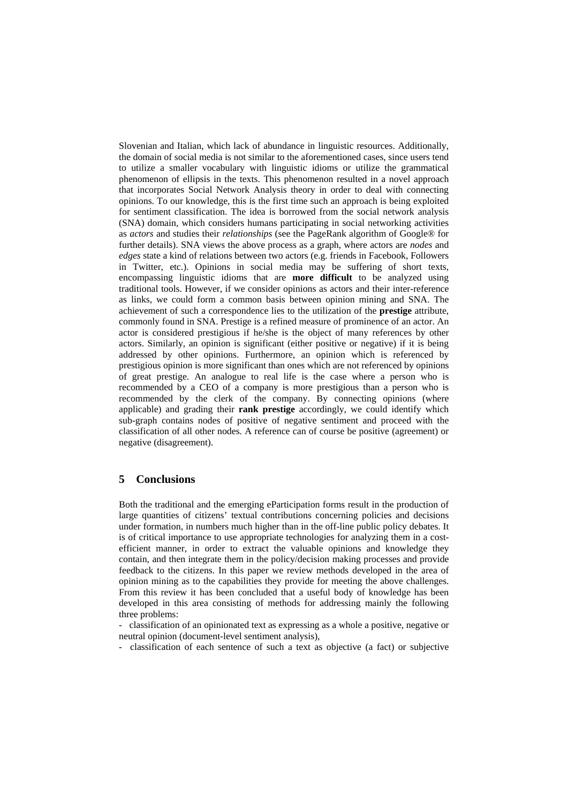Slovenian and Italian, which lack of abundance in linguistic resources. Additionally, the domain of social media is not similar to the aforementioned cases, since users tend to utilize a smaller vocabulary with linguistic idioms or utilize the grammatical phenomenon of ellipsis in the texts. This phenomenon resulted in a novel approach that incorporates Social Network Analysis theory in order to deal with connecting opinions. To our knowledge, this is the first time such an approach is being exploited for sentiment classification. The idea is borrowed from the social network analysis (SNA) domain, which considers humans participating in social networking activities as *actors* and studies their *relationships* (see the PageRank algorithm of Google® for further details). SNA views the above process as a graph, where actors are *nodes* and *edges* state a kind of relations between two actors (e.g. friends in Facebook, Followers in Twitter, etc.). Opinions in social media may be suffering of short texts, encompassing linguistic idioms that are **more difficult** to be analyzed using traditional tools. However, if we consider opinions as actors and their inter-reference as links, we could form a common basis between opinion mining and SNA. The achievement of such a correspondence lies to the utilization of the **prestige** attribute, commonly found in SNA. Prestige is a refined measure of prominence of an actor. An actor is considered prestigious if he/she is the object of many references by other actors. Similarly, an opinion is significant (either positive or negative) if it is being addressed by other opinions. Furthermore, an opinion which is referenced by prestigious opinion is more significant than ones which are not referenced by opinions of great prestige. An analogue to real life is the case where a person who is recommended by a CEO of a company is more prestigious than a person who is recommended by the clerk of the company. By connecting opinions (where applicable) and grading their **rank prestige** accordingly, we could identify which sub-graph contains nodes of positive of negative sentiment and proceed with the classification of all other nodes. A reference can of course be positive (agreement) or negative (disagreement).

## **5 Conclusions**

Both the traditional and the emerging eParticipation forms result in the production of large quantities of citizens' textual contributions concerning policies and decisions under formation, in numbers much higher than in the off-line public policy debates. It is of critical importance to use appropriate technologies for analyzing them in a costefficient manner, in order to extract the valuable opinions and knowledge they contain, and then integrate them in the policy/decision making processes and provide feedback to the citizens. In this paper we review methods developed in the area of opinion mining as to the capabilities they provide for meeting the above challenges. From this review it has been concluded that a useful body of knowledge has been developed in this area consisting of methods for addressing mainly the following three problems:

- classification of an opinionated text as expressing as a whole a positive, negative or neutral opinion (document-level sentiment analysis),

- classification of each sentence of such a text as objective (a fact) or subjective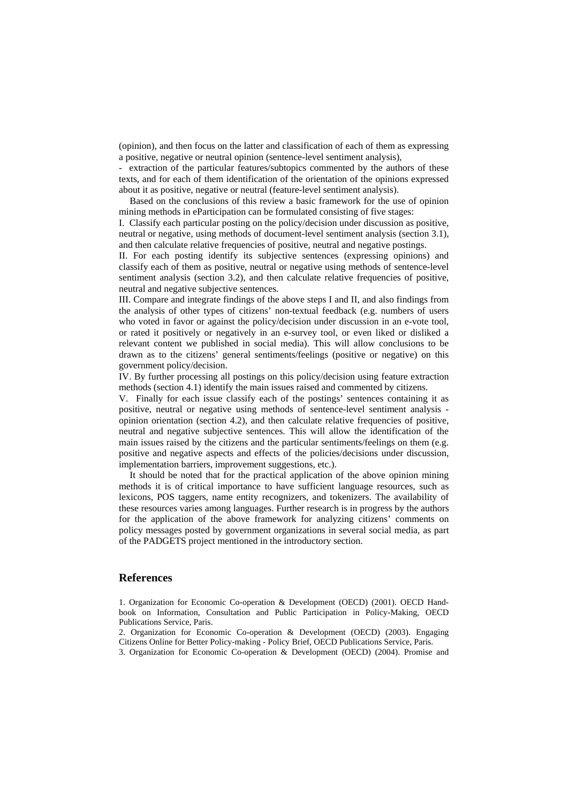(opinion), and then focus on the latter and classification of each of them as expressing a positive, negative or neutral opinion (sentence-level sentiment analysis),

- extraction of the particular features/subtopics commented by the authors of these texts, and for each of them identification of the orientation of the opinions expressed about it as positive, negative or neutral (feature-level sentiment analysis).

Based on the conclusions of this review a basic framework for the use of opinion mining methods in eParticipation can be formulated consisting of five stages:

I. Classify each particular posting on the policy/decision under discussion as positive, neutral or negative, using methods of document-level sentiment analysis (section 3.1), and then calculate relative frequencies of positive, neutral and negative postings.

II. For each posting identify its subjective sentences (expressing opinions) and classify each of them as positive, neutral or negative using methods of sentence-level sentiment analysis (section 3.2), and then calculate relative frequencies of positive, neutral and negative subjective sentences.

III. Compare and integrate findings of the above steps I and II, and also findings from the analysis of other types of citizens' non-textual feedback (e.g. numbers of users who voted in favor or against the policy/decision under discussion in an e-vote tool, or rated it positively or negatively in an e-survey tool, or even liked or disliked a relevant content we published in social media). This will allow conclusions to be drawn as to the citizens' general sentiments/feelings (positive or negative) on this government policy/decision.

IV. By further processing all postings on this policy/decision using feature extraction methods (section 4.1) identify the main issues raised and commented by citizens.

V. Finally for each issue classify each of the postings' sentences containing it as positive, neutral or negative using methods of sentence-level sentiment analysis opinion orientation (section 4.2), and then calculate relative frequencies of positive, neutral and negative subjective sentences. This will allow the identification of the main issues raised by the citizens and the particular sentiments/feelings on them (e.g. positive and negative aspects and effects of the policies/decisions under discussion, implementation barriers, improvement suggestions, etc.).

It should be noted that for the practical application of the above opinion mining methods it is of critical importance to have sufficient language resources, such as lexicons, POS taggers, name entity recognizers, and tokenizers. The availability of these resources varies among languages. Further research is in progress by the authors for the application of the above framework for analyzing citizens' comments on policy messages posted by government organizations in several social media, as part of the PADGETS project mentioned in the introductory section.

## **References**

1. Organization for Economic Co-operation & Development (OECD) (2001). OECD Handbook on Information, Consultation and Public Participation in Policy-Making, OECD Publications Service, Paris.

2. Organization for Economic Co-operation & Development (OECD) (2003). Engaging Citizens Online for Better Policy-making - Policy Brief, OECD Publications Service, Paris.

3. Organization for Economic Co-operation & Development (OECD) (2004). Promise and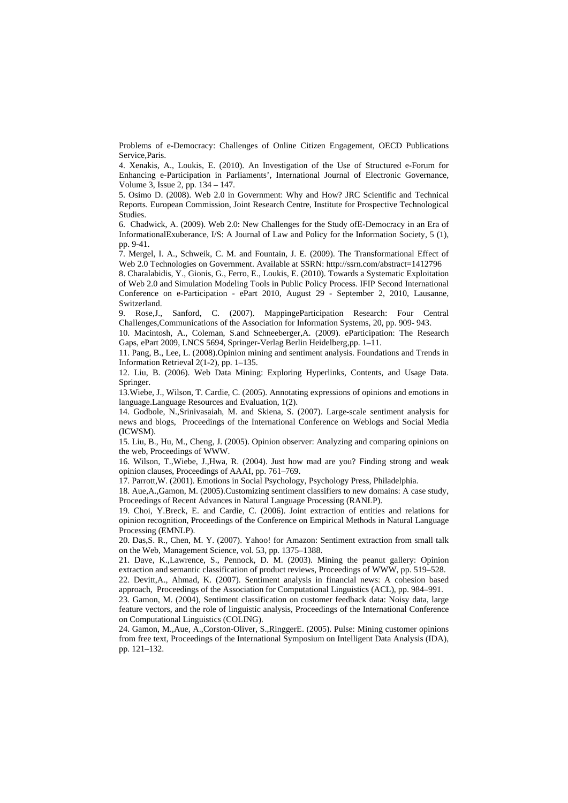Problems of e-Democracy: Challenges of Online Citizen Engagement, OECD Publications Service,Paris.

4. Xenakis, A., Loukis, E. (2010). An Investigation of the Use of Structured e-Forum for Enhancing e-Participation in Parliaments', International Journal of Electronic Governance, Volume 3, Issue 2, pp. 134 – 147.

5. Osimo D. (2008). Web 2.0 in Government: Why and How? JRC Scientific and Technical Reports. European Commission, Joint Research Centre, Institute for Prospective Technological Studies.

6. Chadwick, A. (2009). Web 2.0: New Challenges for the Study ofE-Democracy in an Era of InformationalExuberance, I/S: A Journal of Law and Policy for the Information Society, 5 (1), pp. 9-41.

7. Mergel, I. A., Schweik, C. M. and Fountain, J. E. (2009). The Transformational Effect of Web 2.0 Technologies on Government. Available at SSRN: http://ssrn.com/abstract=1412796

8. Charalabidis, Y., Gionis, G., Ferro, E., Loukis, E. (2010). Towards a Systematic Exploitation of Web 2.0 and Simulation Modeling Tools in Public Policy Process. IFIP Second International Conference on e-Participation - ePart 2010, August 29 - September 2, 2010, Lausanne, Switzerland.

9. Rose,J., Sanford, C. (2007). MappingeParticipation Research: Four Central Challenges,Communications of the Association for Information Systems, 20, pp. 909- 943.

10. Macintosh, A., Coleman, S.and Schneeberger,A. (2009). eParticipation: The Research Gaps, ePart 2009, LNCS 5694, Springer-Verlag Berlin Heidelberg,pp. 1–11.

11. Pang, B., Lee, L. (2008).Opinion mining and sentiment analysis. Foundations and Trends in Information Retrieval 2(1-2), pp. 1–135.

12. Liu, B. (2006). Web Data Mining: Exploring Hyperlinks, Contents, and Usage Data. Springer.

13.Wiebe, J., Wilson, T. Cardie, C. (2005). Annotating expressions of opinions and emotions in language.Language Resources and Evaluation, 1(2).

14. Godbole, N.,Srinivasaiah, M. and Skiena, S. (2007). Large-scale sentiment analysis for news and blogs, Proceedings of the International Conference on Weblogs and Social Media (ICWSM).

15. Liu, B., Hu, M., Cheng, J. (2005). Opinion observer: Analyzing and comparing opinions on the web, Proceedings of WWW.

16. Wilson, T.,Wiebe, J.,Hwa, R. (2004). Just how mad are you? Finding strong and weak opinion clauses, Proceedings of AAAI, pp. 761–769.

17. Parrott,W. (2001). Emotions in Social Psychology, Psychology Press, Philadelphia.

18. Aue,A.,Gamon, M. (2005).Customizing sentiment classifiers to new domains: A case study, Proceedings of Recent Advances in Natural Language Processing (RANLP).

19. Choi, Y.Breck, E. and Cardie, C. (2006). Joint extraction of entities and relations for opinion recognition, Proceedings of the Conference on Empirical Methods in Natural Language Processing (EMNLP).

20. Das,S. R., Chen, M. Y. (2007). Yahoo! for Amazon: Sentiment extraction from small talk on the Web, Management Science, vol. 53, pp. 1375–1388.

21. Dave, K.,Lawrence, S., Pennock, D. M. (2003). Mining the peanut gallery: Opinion extraction and semantic classification of product reviews, Proceedings of WWW, pp. 519–528. 22. Devitt,A., Ahmad, K. (2007). Sentiment analysis in financial news: A cohesion based

approach, Proceedings of the Association for Computational Linguistics (ACL), pp. 984–991. 23. Gamon, M. (2004), Sentiment classification on customer feedback data: Noisy data, large feature vectors, and the role of linguistic analysis, Proceedings of the International Conference on Computational Linguistics (COLING).

24. Gamon, M.,Aue, A.,Corston-Oliver, S.,RinggerE. (2005). Pulse: Mining customer opinions from free text, Proceedings of the International Symposium on Intelligent Data Analysis (IDA), pp. 121–132.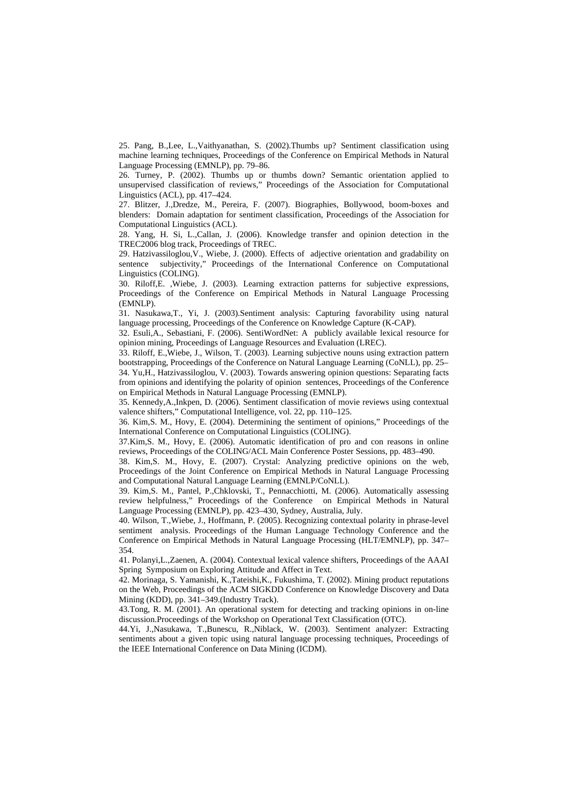25. Pang, B.,Lee, L.,Vaithyanathan, S. (2002).Thumbs up? Sentiment classification using machine learning techniques, Proceedings of the Conference on Empirical Methods in Natural Language Processing (EMNLP), pp. 79–86.

26. Turney, P. (2002). Thumbs up or thumbs down? Semantic orientation applied to unsupervised classification of reviews," Proceedings of the Association for Computational Linguistics (ACL), pp. 417–424.

27. Blitzer, J.,Dredze, M., Pereira, F. (2007). Biographies, Bollywood, boom-boxes and blenders: Domain adaptation for sentiment classification, Proceedings of the Association for Computational Linguistics (ACL).

28. Yang, H. Si, L.,Callan, J. (2006). Knowledge transfer and opinion detection in the TREC2006 blog track, Proceedings of TREC.

29. Hatzivassiloglou,V., Wiebe, J. (2000). Effects of adjective orientation and gradability on sentence subjectivity," Proceedings of the International Conference on Computational Linguistics (COLING).

30. Riloff,E. ,Wiebe, J. (2003). Learning extraction patterns for subjective expressions, Proceedings of the Conference on Empirical Methods in Natural Language Processing (EMNLP).

31. Nasukawa,T., Yi, J. (2003).Sentiment analysis: Capturing favorability using natural language processing, Proceedings of the Conference on Knowledge Capture (K-CAP).

32. Esuli,A., Sebastiani, F. (2006). SentiWordNet: A publicly available lexical resource for opinion mining, Proceedings of Language Resources and Evaluation (LREC).

33. Riloff, E.,Wiebe, J., Wilson, T. (2003). Learning subjective nouns using extraction pattern bootstrapping, Proceedings of the Conference on Natural Language Learning (CoNLL), pp. 25– 34. Yu,H., Hatzivassiloglou, V. (2003). Towards answering opinion questions: Separating facts from opinions and identifying the polarity of opinion sentences, Proceedings of the Conference on Empirical Methods in Natural Language Processing (EMNLP).

35. Kennedy,A.,Inkpen, D. (2006). Sentiment classification of movie reviews using contextual valence shifters," Computational Intelligence, vol. 22, pp. 110–125.

36. Kim,S. M., Hovy, E. (2004). Determining the sentiment of opinions," Proceedings of the International Conference on Computational Linguistics (COLING).

37.Kim,S. M., Hovy, E. (2006). Automatic identification of pro and con reasons in online reviews, Proceedings of the COLING/ACL Main Conference Poster Sessions, pp. 483–490.

38. Kim,S. M., Hovy, E. (2007). Crystal: Analyzing predictive opinions on the web, Proceedings of the Joint Conference on Empirical Methods in Natural Language Processing and Computational Natural Language Learning (EMNLP/CoNLL).

39. Kim,S. M., Pantel, P.,Chklovski, T., Pennacchiotti, M. (2006). Automatically assessing review helpfulness," Proceedings of the Conference on Empirical Methods in Natural Language Processing (EMNLP), pp. 423–430, Sydney, Australia, July.

40. Wilson, T.,Wiebe, J., Hoffmann, P. (2005). Recognizing contextual polarity in phrase-level sentiment analysis. Proceedings of the Human Language Technology Conference and the Conference on Empirical Methods in Natural Language Processing (HLT/EMNLP), pp. 347– 354.

41. Polanyi,L.,Zaenen, A. (2004). Contextual lexical valence shifters, Proceedings of the AAAI Spring Symposium on Exploring Attitude and Affect in Text.

42. Morinaga, S. Yamanishi, K.,Tateishi,K., Fukushima, T. (2002). Mining product reputations on the Web, Proceedings of the ACM SIGKDD Conference on Knowledge Discovery and Data Mining (KDD), pp. 341–349.(Industry Track).

43.Tong, R. M. (2001). An operational system for detecting and tracking opinions in on-line discussion.Proceedings of the Workshop on Operational Text Classification (OTC).

44.Yi, J.,Nasukawa, T.,Bunescu, R.,Niblack, W. (2003). Sentiment analyzer: Extracting sentiments about a given topic using natural language processing techniques, Proceedings of the IEEE International Conference on Data Mining (ICDM).